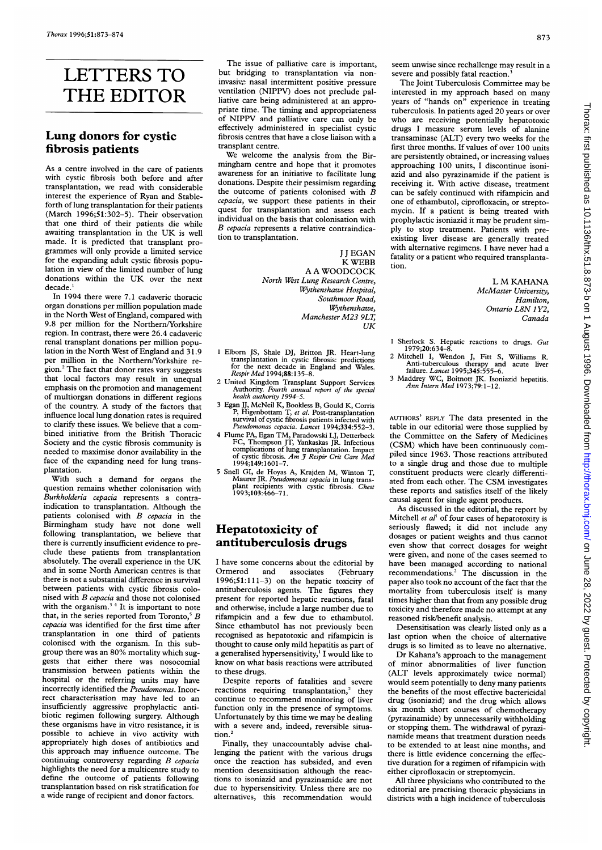## LETTERS TO THE EDITOR

## Lung donors for cystic fibrosis patients

As <sup>a</sup> centre involved in the care of patients with cystic fibrosis both before and after transplantation, we read with considerable interest the experience of Ryan and Stableforth of lung transplantation for their patients (March 1996;51:302-5). Their observation that one third of their patients die while awaiting transplantation in the UK is well made. It is predicted that transplant programmes will only provide a limited service for the expanding adult cystic fibrosis population in view of the limited number of lung donations within the UK over the next decade.'

In 1994 there were 7.1 cadaveric thoracic organ donations per million population made in the North West of England, compared with 9.8 per million for the Northern/Yorkshire region. In contrast, there were 26.4 cadaveric renal transplant donations per million population in the North West of England and 31.9 per million in the Northern/Yorkshire region.2 The fact that donor rates vary suggests that local factors may result in unequal emphasis on the promotion and management of multiorgan donations in different regions of the country. A study of the factors that influence local lung donation rates is required to clarify these issues. We believe that <sup>a</sup> combined initiative from the British Thoracic Society and the cystic fibrosis community is needed to maximise donor availability in the face of the expanding need for lung transplantation.

With such <sup>a</sup> demand for organs the question remains whether colonisation with Burkholderia cepacia represents a contraindication to transplantation. Although the patients colonised with B cepacia in the Birmingham study have not done well following transplantation, we believe that there is currently insufficient evidence to preclude these patients from transplantation absolutely. The overall experience in the UK and in some North American centres is that there is not a substantial difference in survival between patients with cystic fibrosis colonised with B cepacia and those not colonised with the organism.<sup>34</sup> It is important to note that, in the series reported from Toronto, $5 \overline{B}$ cepacia was identified for the first time after transplantation in one third of patients colonised with the organism. In this subgroup there was an 80% mortality which suggests that either there was nosocomial transmission between patients within the hospital or the referring units may have incorrectly identified the Pseudomonas. Incorrect characterisation may have led to an insufficiently aggressive prophylactic antibiotic regimen following surgery. Although these organisms have in vitro resistance, it is possible to achieve in vivo activity with appropriately high doses of antibiotics and this approach may influence outcome. The continuing controversy regarding B cepacia highlights the need for a multicentre study to define the outcome of patients following transplantation based on risk stratification for a wide range of recipient and donor factors.

The issue of palliative care is important, but bridging to transplantation via noninvasive nasal intermittent positive pressure ventilation (NIPPV) does not preclude palliative care being administered at an appropriate time. The timing and appropriateness of NIPPV and palliative care can only be effectively administered in specialist cystic fibrosis centres that have a close liaison with a transplant centre.

We welcome the analysis from the Birmingham centre and hope that it promotes awareness for an initiative to facilitate lung donations. Despite their pessimism regarding the outcome of patients colonised with B cepacia, we support these patients in their quest for transplantation and assess each individual on the basis that colonisation with B cepacia represents <sup>a</sup> relative contraindication to transplantation.

> <sup>J</sup> <sup>J</sup> EGAN K WEBB A A WOODCOCK North West Lung Research Centre, Wythenshawe Hospital, Southmoor Road, Wythenshawe, Manchester M23 9LT,  $U\overline{K}$

- <sup>1</sup> Elborn JS, Shale DJ, Britton JR. Heart-lung transplantation in cystic fibrosis: predictions for the next decade in England and Wales. RespirMed 1994;88:135-8.
- 2 United Kingdom Transplant Support Services Authority. Fourth annual report of the special health authority 1994–5.
- 3 Egan JJ, McNeil K, Bookless B, Gould K, Corris P, Higenbottam T, et al. Post-transplantation survival of cystic fibrosis patients infected with Pseudomonas cepacia. Lancet 1994;334:552-3.
- 4 Flume PA, Egan TM, Paradowski LJ, Detterbeck FC, Thompson JT, Yankaskas JR. Infectious complications of lung transplantation. Impact<br>of cystic fibrosis. Am J Respir Crit Care Med<br>1994;149:1601–7.
- <sup>5</sup> Snell GI, de Hoyas A, Krajden M, Winton T, Maurer JR. Pseudomonas cepacia in lung transplant recipients with cystic fibrosis. *Chest*<br>1993;103:466–71.

## Hepatotoxicity of antituberculosis drugs

I have some concerns about the editorial by<br>Ormerod and associates (February Ormerod and associates (February 1996;51:111-3) on the hepatic toxicity of antituberculosis agents. The figures they present for reported hepatic reactions, fatal and otherwise, include <sup>a</sup> large number due to rifampicin and a few due to ethambutol. Since ethambutol has not previously been recognised as hepatotoxic and rifampicin is thought to cause only mild hepatitis as part of a generalised hypersensitivity,<sup>1</sup> I would like to know on what basis reactions were attributed to these drugs.

Despite reports of fatalities and severe reactions requiring transplantation,<sup>2</sup> they continue to recommend monitoring of liver function only in the presence of symptoms. Unfortunately by this time we may be dealing with a severe and, indeed, reversible situation.<sup>2</sup>

Finally, they unaccountably advise challenging the patient with the various drugs once the reaction has subsided, and even mention desensitisation although the reactions to isoniazid and pyrazinamide are not due to hypersensitivity. Unless there are no alternatives, this recommendation would seem unwise since rechallenge may result in <sup>a</sup> severe and possibly fatal reaction.

The Joint Tuberculosis Committee may be interested in my approach based on many years of "hands on" experience in treating tuberculosis. In patients aged 20 years or over who are receiving potentially hepatotoxic drugs <sup>I</sup> measure serum levels of alanine transaminase (ALT) every two weeks for the first three months. If values of over 100 units are persistently obtained, or increasing values approaching 100 units, <sup>I</sup> discontinue isoniazid and also pyrazinamide if the patient is receiving it. With active disease, treatment can be safely continued with rifampicin and one of ethambutol, ciprofloxacin, or streptomycin. If a patient is being treated with prophylactic isoniazid it may be prudent simply to stop treatment. Patients with preexisting liver disease are generally treated with alternative regimens. <sup>I</sup> have never had <sup>a</sup> fatality or <sup>a</sup> patient who required transplantation.

> L M KAHANA McMaster University, Hamilton, Ontario L8N 1Y2, Canada

- <sup>1</sup> Sherlock S. Hepatic reactions to drugs. Gut <sup>1</sup> 979;20:634-8.
- <sup>2</sup> Mitchell I, Wendon J, Fitt S, Williams R. Anti-tuberculous therapy and acute liver failure. Lancet 1995;345:555-6.
- <sup>3</sup> Maddrey WC, Boitnott JK. Isoniazid hepatitis. Ann Intern Med 1973;79:1-12.

AUTHORS' REPLY The data presented in the table in our editorial were those supplied by the Committee on the Safety of Medicines (CSM) which have been continuously compiled since 1963. Those reactions attributed to <sup>a</sup> single drug and those due to multiple constituent products were clearly differentiated from each other. The CSM investigates these reports and satisfies itself of the likely causal agent for single agent products.

As discussed in the editorial, the report by Mitchell et  $aI<sup>1</sup>$  of four cases of hepatotoxity is seriously flawed; it did not include any dosages or patient weights and thus cannot even show that correct dosages for weight were given, and none of the cases seemed to have been managed according to national recommendations.2 The discussion in the paper also took no account of the fact that the mortality from tuberculosis itself is many times higher than that from any possible drug toxicity and therefore made no attempt at any reasoned risk/benefit analysis.

Desensitisation was clearly listed only as <sup>a</sup> last option when the choice of alternative drugs is so limited as to leave no alternative.

Dr Kahana's approach to the management of minor abnormalities of liver function (ALT levels approximately twice normal) would seem potentially to deny many patients the benefits of the most effective bactericidal drug (isoniazid) and the drug which allows six month short courses of chemotherapy (pyrazinamide) by unnecessarily withholding or stopping them. The withdrawal of pyrazinamide means that treatment duration needs to be extended to at least nine months, and there is little evidence concerning the effective duration for a regimen of rifampicin with either ciprofloxacin or streptomycin.

All three physicians who contributed to the editorial are practising thoracic physicians in districts with a high incidence of tuberculosis